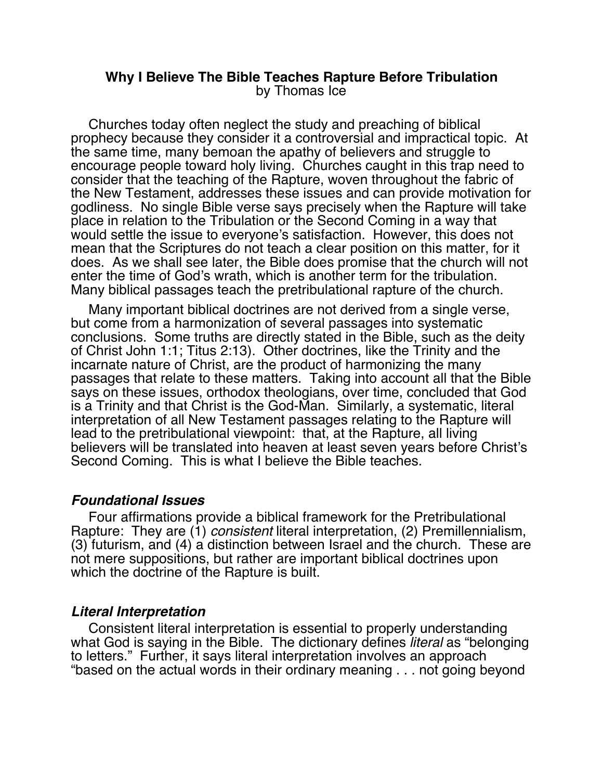#### **Why I Believe The Bible Teaches Rapture Before Tribulation** by Thomas Ice

Churches today often neglect the study and preaching of biblical prophecy because they consider it a controversial and impractical topic. At the same time, many bemoan the apathy of believers and struggle to encourage people toward holy living. Churches caught in this trap need to consider that the teaching of the Rapture, woven throughout the fabric of the New Testament, addresses these issues and can provide motivation for godliness. No single Bible verse says precisely when the Rapture will take place in relation to the Tribulation or the Second Coming in a way that would settle the issue to everyone's satisfaction. However, this does not mean that the Scriptures do not teach a clear position on this matter, for it does. As we shall see later, the Bible does promise that the church will not enter the time of God's wrath, which is another term for the tribulation. Many biblical passages teach the pretribulational rapture of the church.

Many important biblical doctrines are not derived from a single verse, but come from a harmonization of several passages into systematic conclusions. Some truths are directly stated in the Bible, such as the deity of Christ John 1:1; Titus 2:13). Other doctrines, like the Trinity and the incarnate nature of Christ, are the product of harmonizing the many passages that relate to these matters. Taking into account all that the Bible says on these issues, orthodox theologians, over time, concluded that God is a Trinity and that Christ is the God-Man. Similarly, a systematic, literal interpretation of all New Testament passages relating to the Rapture will lead to the pretribulational viewpoint: that, at the Rapture, all living believers will be translated into heaven at least seven years before Christ's Second Coming. This is what I believe the Bible teaches.

#### **Foundational Issues**

Four affirmations provide a biblical framework for the Pretribulational Rapture: They are (1) *consistent* literal interpretation, (2) Premillennialism, (3) futurism, and (4) a distinction between Israel and the church. These are not mere suppositions, but rather are important biblical doctrines upon which the doctrine of the Rapture is built.

#### **Literal Interpretation**

Consistent literal interpretation is essential to properly understanding what God is saying in the Bible. The dictionary defines *literal* as "belonging" to letters." Further, it says literal interpretation involves an approach "based on the actual words in their ordinary meaning . . . not going beyond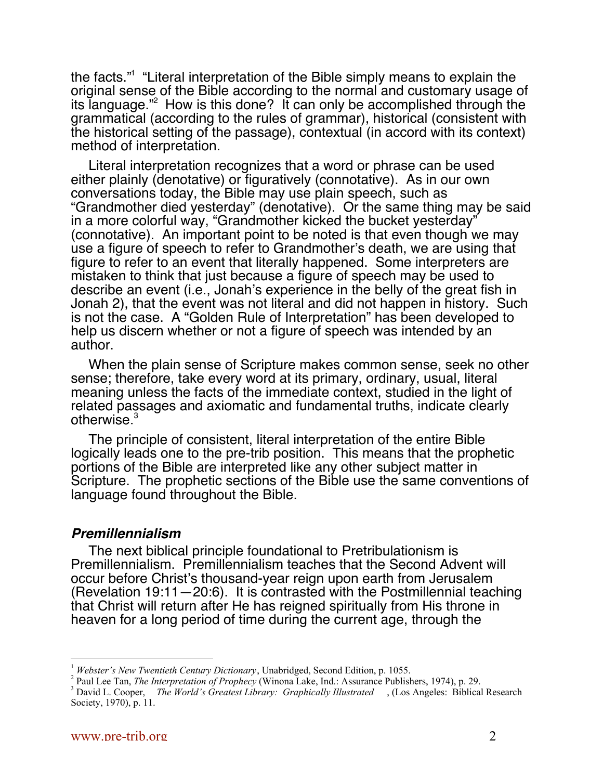the facts."1 "Literal interpretation of the Bible simply means to explain the original sense of the Bible according to the normal and customary usage of its language."<sup>2</sup> How is this done? It can only be accomplished through the grammatical (according to the rules of grammar), historical (consistent with the historical setting of the passage), contextual (in accord with its context) method of interpretation.

Literal interpretation recognizes that a word or phrase can be used either plainly (denotative) or figuratively (connotative). As in our own conversations today, the Bible may use plain speech, such as "Grandmother died yesterday" (denotative). Or the same thing may be said in a more colorful way, "Grandmother kicked the bucket yesterday" (connotative). An important point to be noted is that even though we may use a figure of speech to refer to Grandmother's death, we are using that figure to refer to an event that literally happened. Some interpreters are mistaken to think that just because a figure of speech may be used to describe an event (i.e., Jonah's experience in the belly of the great fish in Jonah 2), that the event was not literal and did not happen in history. Such is not the case. A "Golden Rule of Interpretation" has been developed to help us discern whether or not a figure of speech was intended by an author.

When the plain sense of Scripture makes common sense, seek no other sense; therefore, take every word at its primary, ordinary, usual, literal meaning unless the facts of the immediate context, studied in the light of related passages and axiomatic and fundamental truths, indicate clearly otherwise.<sup>3</sup>

The principle of consistent, literal interpretation of the entire Bible logically leads one to the pre-trib position. This means that the prophetic portions of the Bible are interpreted like any other subject matter in Scripture. The prophetic sections of the Bible use the same conventions of language found throughout the Bible.

#### **Premillennialism**

The next biblical principle foundational to Pretribulationism is Premillennialism. Premillennialism teaches that the Second Advent will occur before Christ's thousand-year reign upon earth from Jerusalem (Revelation 19:11—20:6). It is contrasted with the Postmillennial teaching that Christ will return after He has reigned spiritually from His throne in heaven for a long period of time during the current age, through the

<sup>1</sup> *Webster's New Twentieth Century Dictionary*, Unabridged, Second Edition, p. 1055. <sup>2</sup>

<sup>&</sup>lt;sup>2</sup> Paul Lee Tan, *The Interpretation of Prophecy* (Winona Lake, Ind.: Assurance Publishers, 1974), p. 29.

<sup>&</sup>lt;sup>3</sup> David L. Cooper, *The World's Greatest Library: Graphically Illustrated*, (Los Angeles: Biblical Research Society, 1970), p. 11.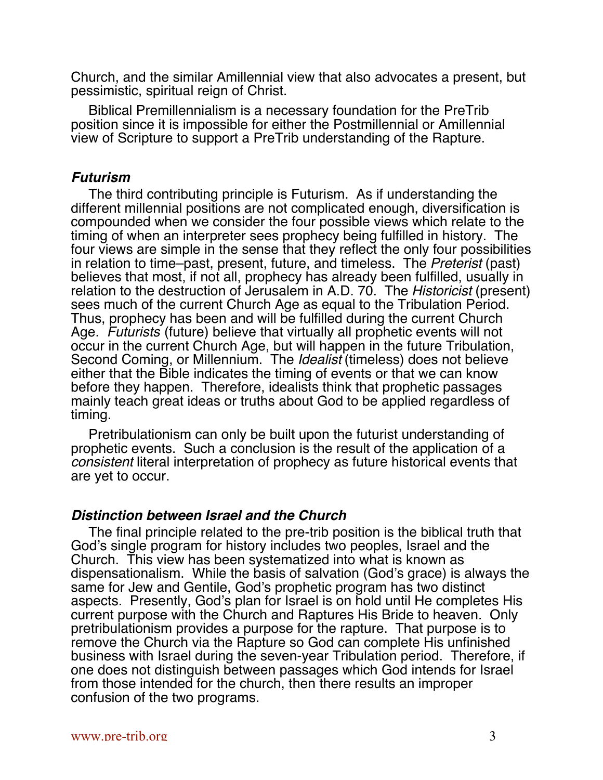Church, and the similar Amillennial view that also advocates a present, but pessimistic, spiritual reign of Christ.

Biblical Premillennialism is a necessary foundation for the PreTrib position since it is impossible for either the Postmillennial or Amillennial view of Scripture to support a PreTrib understanding of the Rapture.

### **Futurism**

The third contributing principle is Futurism. As if understanding the different millennial positions are not complicated enough, diversification is compounded when we consider the four possible views which relate to the timing of when an interpreter sees prophecy being fulfilled in history. The four views are simple in the sense that they reflect the only four possibilities in relation to time–past, present, future, and timeless. The Preterist (past) believes that most, if not all, prophecy has already been fulfilled, usually in relation to the destruction of Jerusalem in A.D. 70. The Historicist (present) sees much of the current Church Age as equal to the Tribulation Period. Thus, prophecy has been and will be fulfilled during the current Church Age. Futurists (future) believe that virtually all prophetic events will not occur in the current Church Age, but will happen in the future Tribulation, Second Coming, or Millennium. The *Idealist* (timeless) does not believe either that the Bible indicates the timing of events or that we can know before they happen. Therefore, idealists think that prophetic passages mainly teach great ideas or truths about God to be applied regardless of timing.

Pretribulationism can only be built upon the futurist understanding of prophetic events. Such a conclusion is the result of the application of a consistent literal interpretation of prophecy as future historical events that are yet to occur.

## **Distinction between Israel and the Church**

The final principle related to the pre-trib position is the biblical truth that God's single program for history includes two peoples, Israel and the Church. This view has been systematized into what is known as dispensationalism. While the basis of salvation (God's grace) is always the same for Jew and Gentile, God's prophetic program has two distinct aspects. Presently, God's plan for Israel is on hold until He completes His current purpose with the Church and Raptures His Bride to heaven. Only pretribulationism provides a purpose for the rapture. That purpose is to remove the Church via the Rapture so God can complete His unfinished business with Israel during the seven-year Tribulation period. Therefore, if one does not distinguish between passages which God intends for Israel from those intended for the church, then there results an improper confusion of the two programs.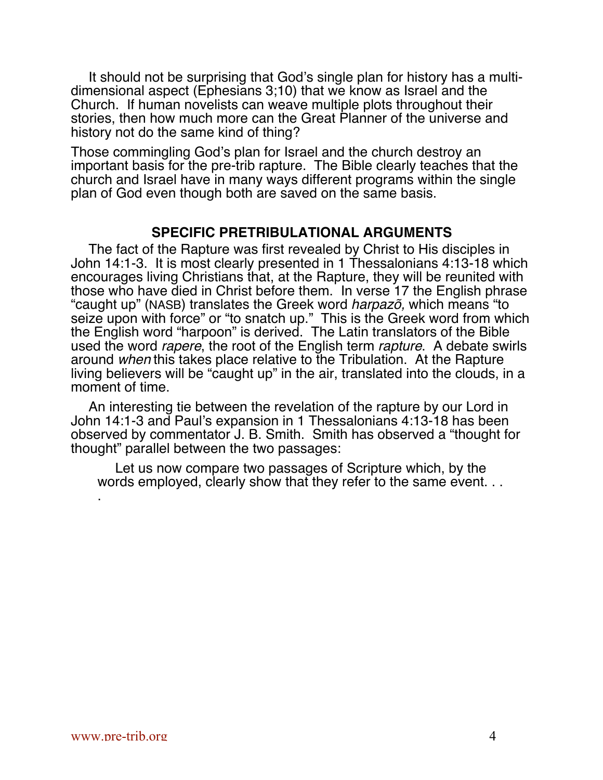It should not be surprising that God's single plan for history has a multidimensional aspect (Ephesians 3;10) that we know as Israel and the Church. If human novelists can weave multiple plots throughout their stories, then how much more can the Great Planner of the universe and history not do the same kind of thing?

Those commingling God's plan for Israel and the church destroy an important basis for the pre-trib rapture. The Bible clearly teaches that the church and Israel have in many ways different programs within the single plan of God even though both are saved on the same basis.

### **SPECIFIC PRETRIBULATIONAL ARGUMENTS**

The fact of the Rapture was first revealed by Christ to His disciples in John 14:1-3. It is most clearly presented in 1 Thessalonians 4:13-18 which encourages living Christians that, at the Rapture, they will be reunited with those who have died in Christ before them. In verse 17 the English phrase "caught up" (NASB) translates the Greek word harpazõ, which means "to seize upon with force" or "to snatch up." This is the Greek word from which the English word "harpoon" is derived. The Latin translators of the Bible used the word *rapere*, the root of the English term *rapture*. A debate swirls around when this takes place relative to the Tribulation. At the Rapture living believers will be "caught up" in the air, translated into the clouds, in a moment of time.

An interesting tie between the revelation of the rapture by our Lord in John 14:1-3 and Paul's expansion in 1 Thessalonians 4:13-18 has been observed by commentator J. B. Smith. Smith has observed a "thought for thought" parallel between the two passages:

Let us now compare two passages of Scripture which, by the words employed, clearly show that they refer to the same event. . . .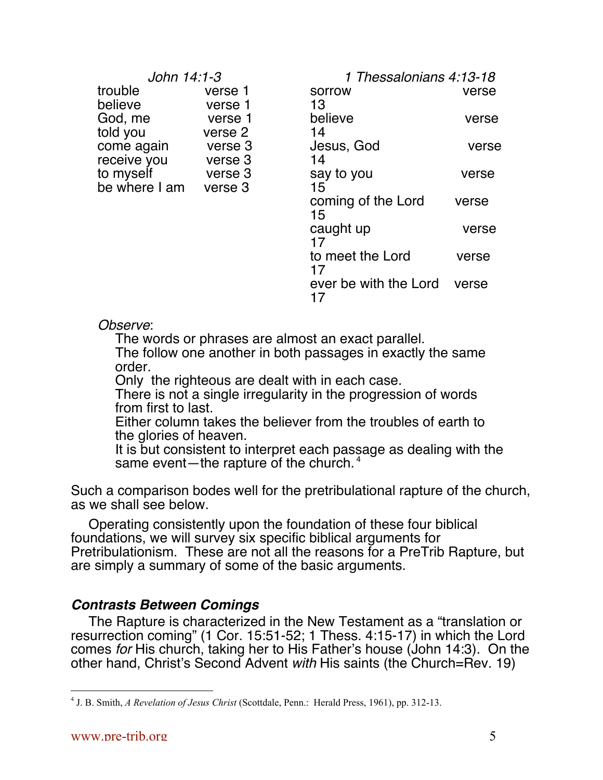| John 14:1-3   |         |
|---------------|---------|
| trouble       | verse 1 |
| believe       | verse 1 |
| God, me       | verse 1 |
| told you      | verse 2 |
| come again    | verse 3 |
| receive you   | verse 3 |
| to myself     | verse 3 |
| be where I am | verse 3 |
|               |         |

| 1 Thessalonians 4:13-18 |       |
|-------------------------|-------|
| sorrow                  | verse |
| 13                      |       |
| believe                 | verse |
| 14                      |       |
| Jesus, God              | verse |
| 14                      |       |
| say to you              | verse |
| 15                      |       |
| coming of the Lord      | verse |
| 15                      |       |
| caught up<br>17         | verse |
| to meet the Lord        | verse |
| 17                      |       |
| ever be with the Lord   | verse |
| 17                      |       |
|                         |       |

Observe:

The words or phrases are almost an exact parallel.

The follow one another in both passages in exactly the same order.

Only the righteous are dealt with in each case.

There is not a single irregularity in the progression of words from first to last.

Either column takes the believer from the troubles of earth to the glories of heaven.

It is but consistent to interpret each passage as dealing with the same event—the rapture of the church.<sup>4</sup>

Such a comparison bodes well for the pretribulational rapture of the church, as we shall see below.

Operating consistently upon the foundation of these four biblical foundations, we will survey six specific biblical arguments for Pretribulationism. These are not all the reasons for a PreTrib Rapture, but are simply a summary of some of the basic arguments.

## **Contrasts Between Comings**

The Rapture is characterized in the New Testament as a "translation or resurrection coming" (1 Cor. 15:51-52; 1 Thess. 4:15-17) in which the Lord comes for His church, taking her to His Father's house (John 14:3). On the other hand, Christ's Second Advent with His saints (the Church=Rev. 19)

 $\frac{1}{4}$ <sup>4</sup> J. B. Smith, *A Revelation of Jesus Christ* (Scottdale, Penn.: Herald Press, 1961), pp. 312-13.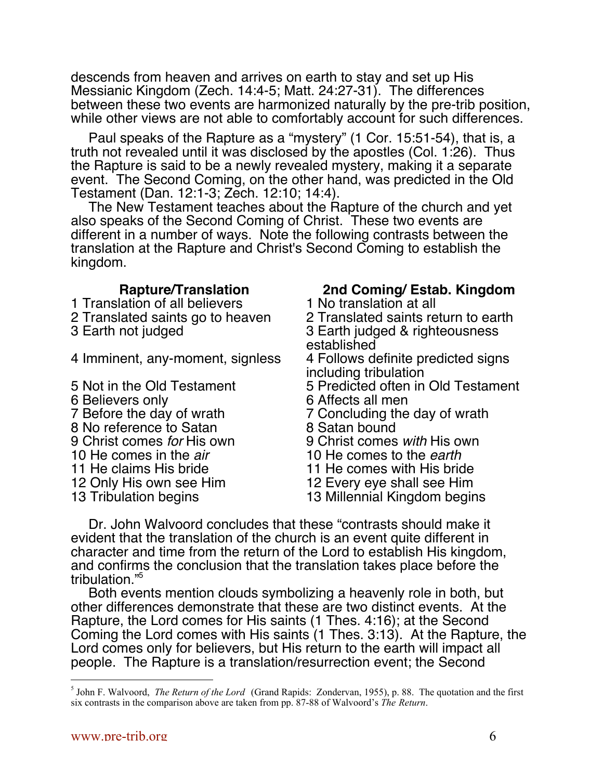descends from heaven and arrives on earth to stay and set up His Messianic Kingdom (Zech. 14:4-5; Matt. 24:27-31). The differences between these two events are harmonized naturally by the pre-trib position, while other views are not able to comfortably account for such differences.

Paul speaks of the Rapture as a "mystery" (1 Cor. 15:51-54), that is, a truth not revealed until it was disclosed by the apostles (Col. 1:26). Thus the Rapture is said to be a newly revealed mystery, making it a separate event. The Second Coming, on the other hand, was predicted in the Old Testament (Dan. 12:1-3; Zech. 12:10; 14:4).

The New Testament teaches about the Rapture of the church and yet also speaks of the Second Coming of Christ. These two events are different in a number of ways. Note the following contrasts between the translation at the Rapture and Christ's Second Coming to establish the kingdom.

#### **Rapture/Translation**

1 Translation of all believers

- 2 Translated saints go to heaven
- 3 Earth not judged
- 4 Imminent, any-moment, signless

5 Not in the Old Testament

6 Believers only

7 Before the day of wrath

- 8 No reference to Satan
- 9 Christ comes for His own
- 10 He comes in the *air*
- 11 He claims His bride
- 12 Only His own see Him
- 13 Tribulation begins

## **2nd Coming/ Estab. Kingdom**

1 No translation at all

2 Translated saints return to earth 3 Earth judged & righteousness established

4 Follows definite predicted signs including tribulation

- 5 Predicted often in Old Testament 6 Affects all men
- 7 Concluding the day of wrath
- 8 Satan bound
- 9 Christ comes with His own
- 10 He comes to the *earth*
- 11 He comes with His bride
- 12 Every eye shall see Him
- 13 Millennial Kingdom begins

Dr. John Walvoord concludes that these "contrasts should make it evident that the translation of the church is an event quite different in character and time from the return of the Lord to establish His kingdom, and confirms the conclusion that the translation takes place before the tribulation."<sup>5</sup>

Both events mention clouds symbolizing a heavenly role in both, but other differences demonstrate that these are two distinct events. At the Rapture, the Lord comes for His saints (1 Thes. 4:16); at the Second Coming the Lord comes with His saints (1 Thes. 3:13). At the Rapture, the Lord comes only for believers, but His return to the earth will impact all people. The Rapture is a translation/resurrection event; the Second

 $\frac{1}{5}$ <sup>5</sup> John F. Walvoord, *The Return of the Lord* (Grand Rapids: Zondervan, 1955), p. 88. The quotation and the first six contrasts in the comparison above are taken from pp. 87-88 of Walvoord's *The Return*.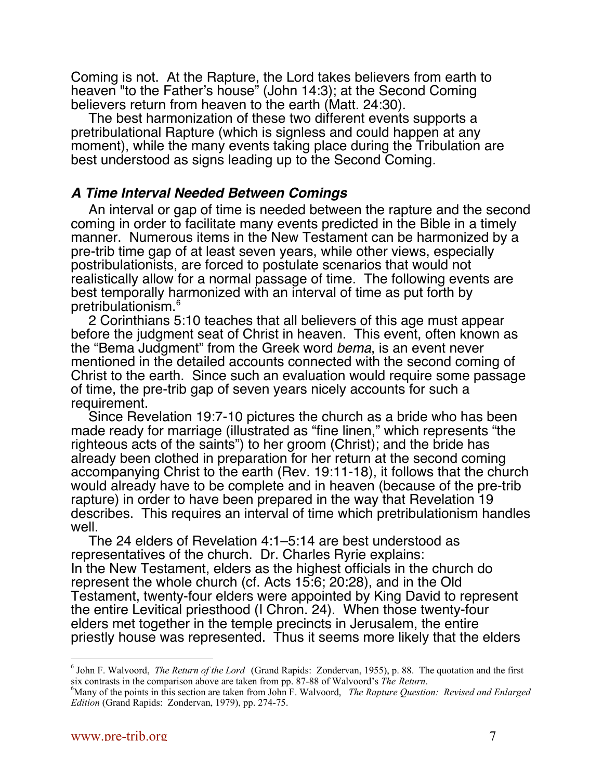Coming is not. At the Rapture, the Lord takes believers from earth to heaven "to the Father's house" (John 14:3); at the Second Coming believers return from heaven to the earth (Matt. 24:30).

The best harmonization of these two different events supports a pretribulational Rapture (which is signless and could happen at any moment), while the many events taking place during the Tribulation are best understood as signs leading up to the Second Coming.

### **A Time Interval Needed Between Comings**

An interval or gap of time is needed between the rapture and the second coming in order to facilitate many events predicted in the Bible in a timely manner. Numerous items in the New Testament can be harmonized by a pre-trib time gap of at least seven years, while other views, especially postribulationists, are forced to postulate scenarios that would not realistically allow for a normal passage of time. The following events are best temporally harmonized with an interval of time as put forth by pretribulationism.6

2 Corinthians 5:10 teaches that all believers of this age must appear before the judgment seat of Christ in heaven. This event, often known as the "Bema Judgment" from the Greek word *bema*, is an event never mentioned in the detailed accounts connected with the second coming of Christ to the earth. Since such an evaluation would require some passage of time, the pre-trib gap of seven years nicely accounts for such a requirement.

Since Revelation 19:7-10 pictures the church as a bride who has been made ready for marriage (illustrated as "fine linen," which represents "the righteous acts of the saints") to her groom (Christ); and the bride has already been clothed in preparation for her return at the second coming accompanying Christ to the earth (Rev. 19:11-18), it follows that the church would already have to be complete and in heaven (because of the pre-trib rapture) in order to have been prepared in the way that Revelation 19 describes. This requires an interval of time which pretribulationism handles well.

The 24 elders of Revelation 4:1–5:14 are best understood as representatives of the church. Dr. Charles Ryrie explains: In the New Testament, elders as the highest officials in the church do represent the whole church (cf. Acts 15:6; 20:28), and in the Old Testament, twenty-four elders were appointed by King David to represent the entire Levitical priesthood (I Chron. 24). When those twenty-four elders met together in the temple precincts in Jerusalem, the entire priestly house was represented. Thus it seems more likely that the elders

 $\frac{1}{6}$ <sup>6</sup> John F. Walvoord, *The Return of the Lord* (Grand Rapids: Zondervan, 1955), p. 88. The quotation and the first six contrasts in the comparison above are taken from pp. 87-88 of Walvoord's *The Return*. <sup>6</sup>

<sup>&</sup>lt;sup>6</sup>Many of the points in this section are taken from John F. Walvoord, *The Rapture Question: Revised and Enlarged Edition* (Grand Rapids: Zondervan, 1979), pp. 274-75.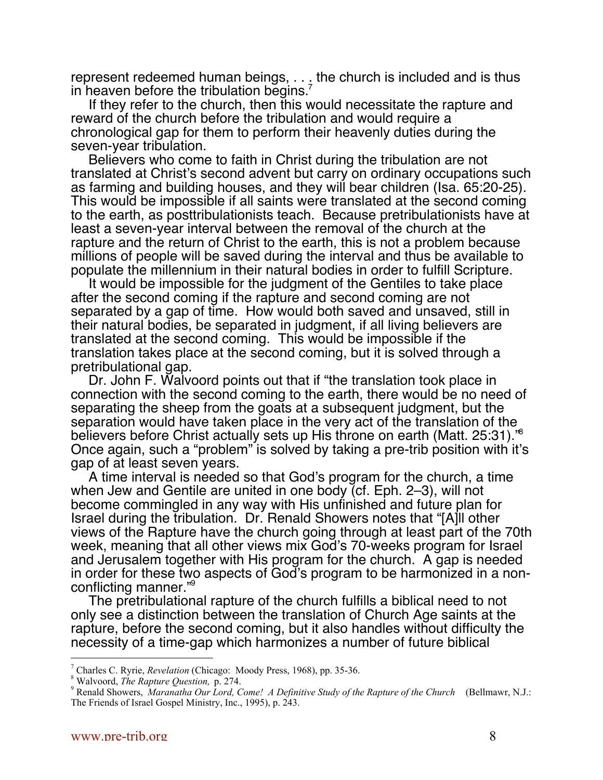represent redeemed human beings, . . . the church is included and is thus in heaven before the tribulation begins.

If they refer to the church, then this would necessitate the rapture and reward of the church before the tribulation and would require a chronological gap for them to perform their heavenly duties during the seven-year tribulation.

Believers who come to faith in Christ during the tribulation are not translated at Christ's second advent but carry on ordinary occupations such as farming and building houses, and they will bear children (Isa. 65:20-25). This would be impossible if all saints were translated at the second coming to the earth, as posttribulationists teach. Because pretribulationists have at least a seven-year interval between the removal of the church at the rapture and the return of Christ to the earth, this is not a problem because millions of people will be saved during the interval and thus be available to populate the millennium in their natural bodies in order to fulfill Scripture.

It would be impossible for the judgment of the Gentiles to take place after the second coming if the rapture and second coming are not separated by a gap of time. How would both saved and unsaved, still in their natural bodies, be separated in judgment, if all living believers are translated at the second coming. This would be impossible if the translation takes place at the second coming, but it is solved through a pretribulational gap.

Dr. John F. Walvoord points out that if "the translation took place in connection with the second coming to the earth, there would be no need of separating the sheep from the goats at a subsequent judgment, but the separation would have taken place in the very act of the translation of the believers before Christ actually sets up His throne on earth (Matt. 25:31)."<sup>8</sup> Once again, such a "problem" is solved by taking a pre-trib position with it's gap of at least seven years.

A time interval is needed so that God's program for the church, a time when Jew and Gentile are united in one body (cf. Eph. 2–3), will not become commingled in any way with His unfinished and future plan for Israel during the tribulation. Dr. Renald Showers notes that "[A]ll other views of the Rapture have the church going through at least part of the 70th week, meaning that all other views mix God's 70-weeks program for Israel and Jerusalem together with His program for the church. A gap is needed in order for these two aspects of God's program to be harmonized in a nonconflicting manner."9

The pretribulational rapture of the church fulfills a biblical need to not only see a distinction between the translation of Church Age saints at the rapture, before the second coming, but it also handles without difficulty the necessity of a time-gap which harmonizes a number of future biblical

 $\frac{1}{7}$ Charles C. Ryrie, *Revelation* (Chicago: Moody Press, 1968), pp. 35-36.

Walvoord, *The Rapture Question,* p. 274. <sup>9</sup>

Renald Showers, *Maranatha Our Lord, Come! A Definitive Study of the Rapture of the Church* (Bellmawr, N.J.: The Friends of Israel Gospel Ministry, Inc., 1995), p. 243.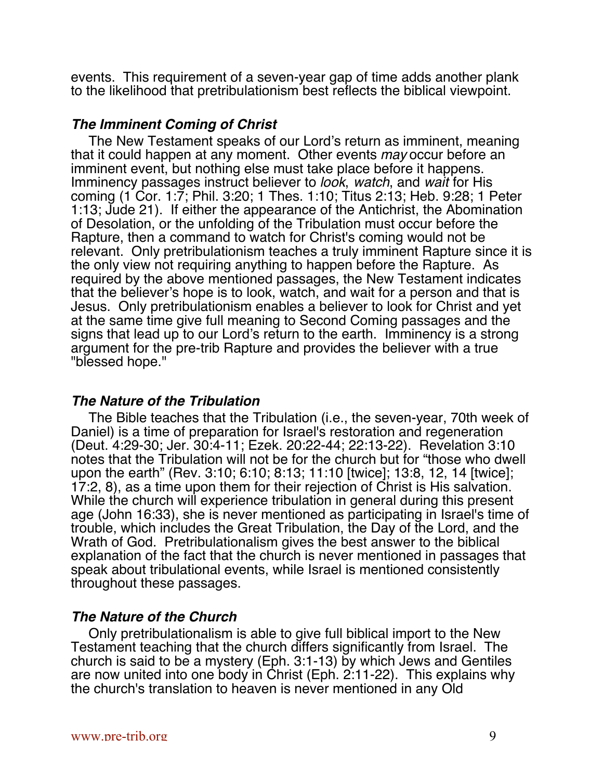events. This requirement of a seven-year gap of time adds another plank to the likelihood that pretribulationism best reflects the biblical viewpoint.

### **The Imminent Coming of Christ**

The New Testament speaks of our Lord's return as imminent, meaning that it could happen at any moment. Other events may occur before an imminent event, but nothing else must take place before it happens. Imminency passages instruct believer to *look, watch*, and wait for His coming (1 Cor. 1:7; Phil. 3:20; 1 Thes. 1:10; Titus 2:13; Heb. 9:28; 1 Peter 1:13; Jude 21). If either the appearance of the Antichrist, the Abomination of Desolation, or the unfolding of the Tribulation must occur before the Rapture, then a command to watch for Christ's coming would not be relevant. Only pretribulationism teaches a truly imminent Rapture since it is the only view not requiring anything to happen before the Rapture. As required by the above mentioned passages, the New Testament indicates that the believer's hope is to look, watch, and wait for a person and that is Jesus. Only pretribulationism enables a believer to look for Christ and yet at the same time give full meaning to Second Coming passages and the signs that lead up to our Lord's return to the earth. Imminency is a strong argument for the pre-trib Rapture and provides the believer with a true "blessed hope."

#### **The Nature of the Tribulation**

The Bible teaches that the Tribulation (i.e., the seven-year, 70th week of Daniel) is a time of preparation for Israel's restoration and regeneration (Deut. 4:29-30; Jer. 30:4-11; Ezek. 20:22-44; 22:13-22). Revelation 3:10 notes that the Tribulation will not be for the church but for "those who dwell upon the earth" (Rev. 3:10; 6:10; 8:13; 11:10 [twice]; 13:8, 12, 14 [twice]; 17:2, 8), as a time upon them for their rejection of Christ is His salvation. While the church will experience tribulation in general during this present age (John 16:33), she is never mentioned as participating in Israel's time of trouble, which includes the Great Tribulation, the Day of the Lord, and the Wrath of God. Pretribulationalism gives the best answer to the biblical explanation of the fact that the church is never mentioned in passages that speak about tribulational events, while Israel is mentioned consistently throughout these passages.

## **The Nature of the Church**

Only pretribulationalism is able to give full biblical import to the New Testament teaching that the church differs significantly from Israel. The church is said to be a mystery (Eph. 3:1-13) by which Jews and Gentiles are now united into one body in Christ (Eph. 2:11-22). This explains why the church's translation to heaven is never mentioned in any Old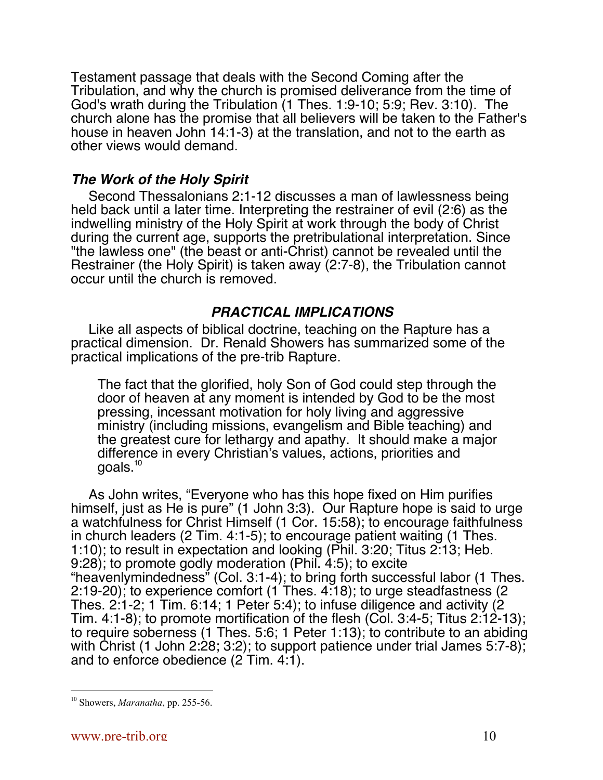Testament passage that deals with the Second Coming after the Tribulation, and why the church is promised deliverance from the time of God's wrath during the Tribulation (1 Thes. 1:9-10; 5:9; Rev. 3:10). The church alone has the promise that all believers will be taken to the Father's house in heaven John 14:1-3) at the translation, and not to the earth as other views would demand.

### **The Work of the Holy Spirit**

Second Thessalonians 2:1-12 discusses a man of lawlessness being held back until a later time. Interpreting the restrainer of evil (2:6) as the indwelling ministry of the Holy Spirit at work through the body of Christ during the current age, supports the pretribulational interpretation. Since "the lawless one" (the beast or anti-Christ) cannot be revealed until the Restrainer (the Holy Spirit) is taken away (2:7-8), the Tribulation cannot occur until the church is removed.

# **PRACTICAL IMPLICATIONS**

Like all aspects of biblical doctrine, teaching on the Rapture has a practical dimension. Dr. Renald Showers has summarized some of the practical implications of the pre-trib Rapture.

The fact that the glorified, holy Son of God could step through the door of heaven at any moment is intended by God to be the most pressing, incessant motivation for holy living and aggressive ministry (including missions, evangelism and Bible teaching) and the greatest cure for lethargy and apathy. It should make a major difference in every Christian's values, actions, priorities and goals.10

As John writes, "Everyone who has this hope fixed on Him purifies himself, just as He is pure" (1 John 3:3). Our Rapture hope is said to urge a watchfulness for Christ Himself (1 Cor. 15:58); to encourage faithfulness in church leaders (2 Tim. 4:1-5); to encourage patient waiting (1 Thes. 1:10); to result in expectation and looking (Phil. 3:20; Titus 2:13; Heb. 9:28); to promote godly moderation (Phil. 4:5); to excite "heavenlymindedness" (Col. 3:1-4); to bring forth successful labor (1 Thes.  $2:19-20$ ; to experience comfort  $(1)$  Thes.  $4:18$ ; to urge steadfastness (2) Thes. 2:1-2; 1 Tim. 6:14; 1 Peter 5:4); to infuse diligence and activity (2 Tim. 4:1-8); to promote mortification of the flesh (Col. 3:4-5; Titus 2:12-13); to require soberness (1 Thes. 5:6; 1 Peter 1:13); to contribute to an abiding with Christ (1 John 2:28; 3:2); to support patience under trial James 5:7-8); and to enforce obedience (2 Tim. 4:1).

<sup>&</sup>lt;sup>10</sup> Showers, *Maranatha*, pp. 255-56.